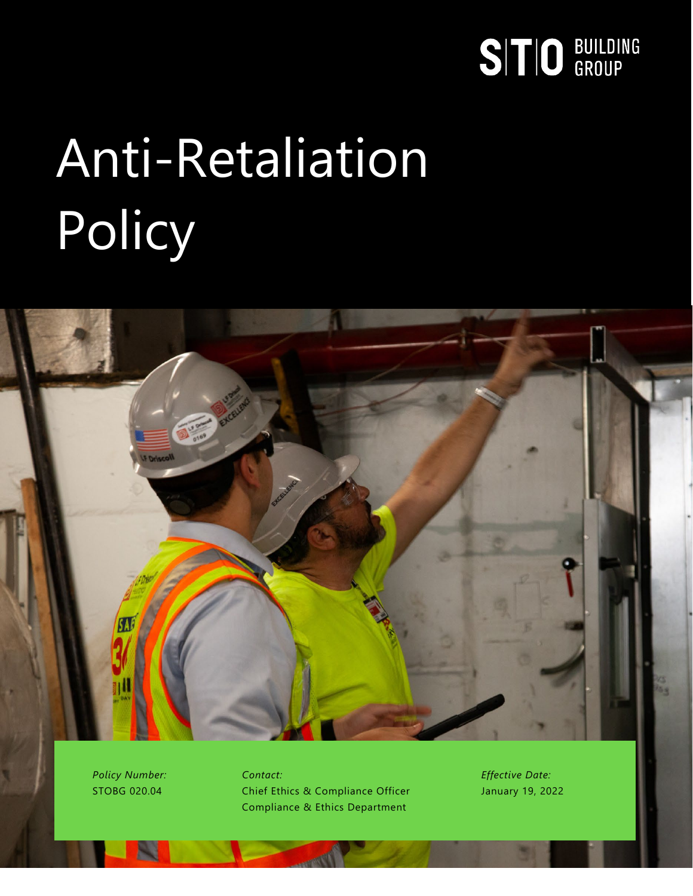# SITIO BUILDING

# Anti-Retaliation Policy



*Policy Number:* STOBG 020.04

*Contact:* Chief Ethics & Compliance Officer Compliance & Ethics Department

*Effective Date:* January 19, 2022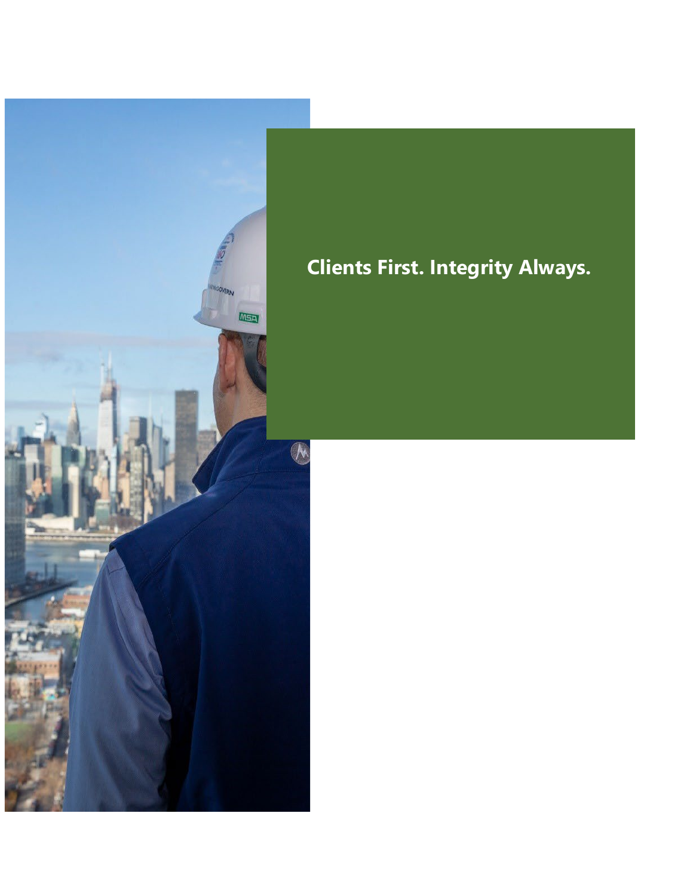# $\overline{N}$

#### **Clients First. Integrity Always.**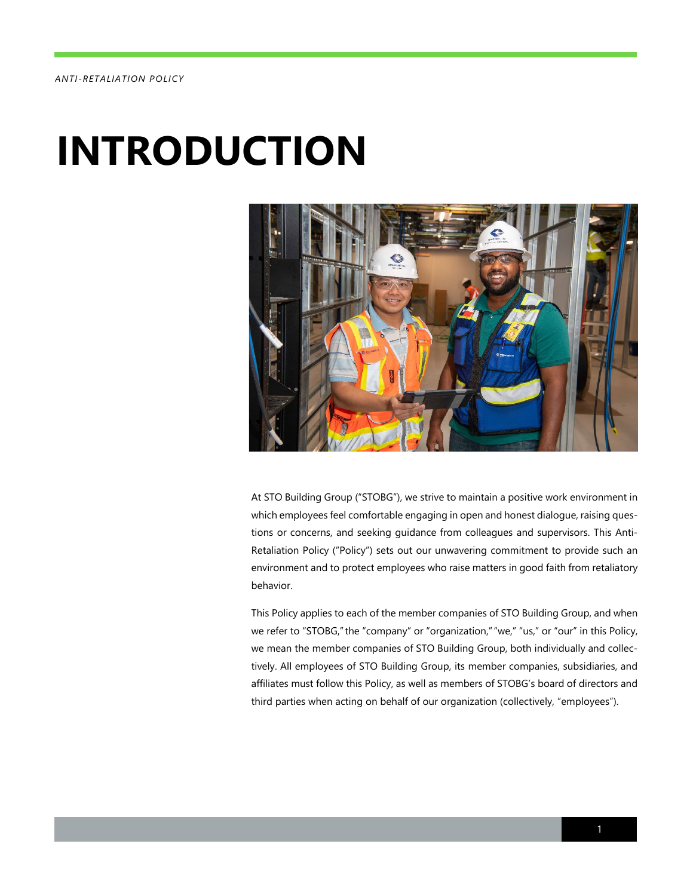#### *ANTI -RETALIATION POLICY*

### **INTRODUCTION**



At STO Building Group ("STOBG"), we strive to maintain a positive work environment in which employees feel comfortable engaging in open and honest dialogue, raising questions or concerns, and seeking guidance from colleagues and supervisors. This Anti-Retaliation Policy ("Policy") sets out our unwavering commitment to provide such an environment and to protect employees who raise matters in good faith from retaliatory behavior.

This Policy applies to each of the member companies of STO Building Group, and when we refer to "STOBG," the "company" or "organization," "we," "us," or "our" in this Policy, we mean the member companies of STO Building Group, both individually and collectively. All employees of STO Building Group, its member companies, subsidiaries, and affiliates must follow this Policy, as well as members of STOBG's board of directors and third parties when acting on behalf of our organization (collectively, "employees").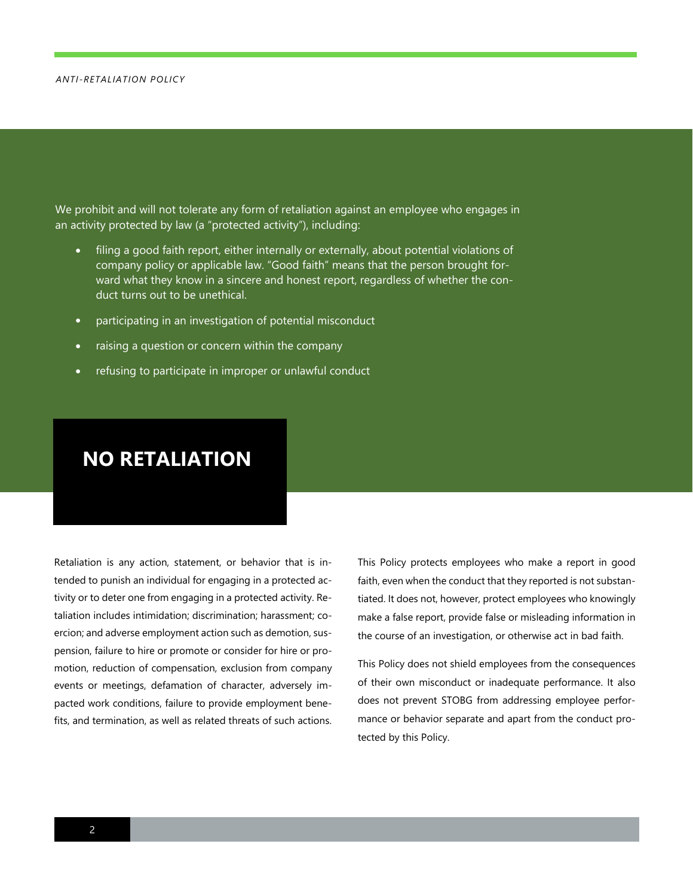#### *ANTI -RETALIATION POLICY*

We prohibit and will not tolerate any form of retaliation against an employee who engages in an activity protected by law (a "protected activity"), including:

- filing a good faith report, either internally or externally, about potential violations of company policy or applicable law. "Good faith" means that the person brought forward what they know in a sincere and honest report, regardless of whether the conduct turns out to be unethical.
- participating in an investigation of potential misconduct
- raising a question or concern within the company
- refusing to participate in improper or unlawful conduct

#### **NO RETALIATION**

Retaliation is any action, statement, or behavior that is intended to punish an individual for engaging in a protected activity or to deter one from engaging in a protected activity. Retaliation includes intimidation; discrimination; harassment; coercion; and adverse employment action such as demotion, suspension, failure to hire or promote or consider for hire or promotion, reduction of compensation, exclusion from company events or meetings, defamation of character, adversely impacted work conditions, failure to provide employment benefits, and termination, as well as related threats of such actions.

This Policy protects employees who make a report in good faith, even when the conduct that they reported is not substantiated. It does not, however, protect employees who knowingly make a false report, provide false or misleading information in the course of an investigation, or otherwise act in bad faith.

This Policy does not shield employees from the consequences of their own misconduct or inadequate performance. It also does not prevent STOBG from addressing employee performance or behavior separate and apart from the conduct protected by this Policy.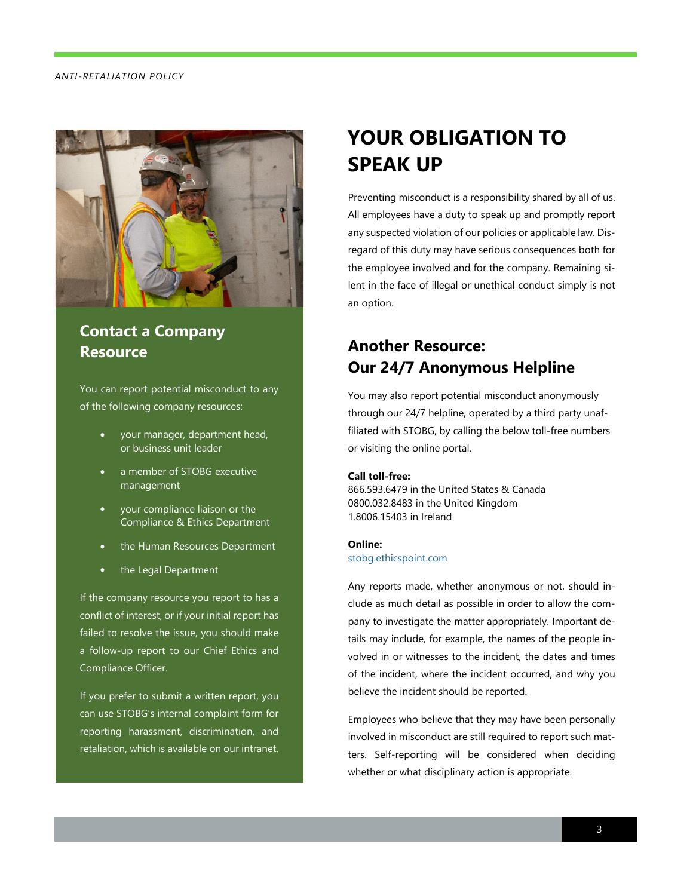#### *ANTI -RETALIATION POLICY*



#### **Contact a Company Resource**

You can report potential misconduct to any of the following company resources:

- your manager, department head, or business unit leader
- a member of STOBG executive management
- your compliance liaison or the Compliance & Ethics Department
- the Human Resources Department
- the Legal Department

If the company resource you report to has a conflict of interest, or if your initial report has failed to resolve the issue, you should make a follow-up report to our Chief Ethics and Compliance Officer.

If you prefer to submit a written report, you can use STOBG's internal complaint form for reporting harassment, discrimination, and retaliation, which is available on our intranet.

#### **YOUR OBLIGATION TO SPEAK UP**

Preventing misconduct is a responsibility shared by all of us. All employees have a duty to speak up and promptly report any suspected violation of our policies or applicable law. Disregard of this duty may have serious consequences both for the employee involved and for the company. Remaining silent in the face of illegal or unethical conduct simply is not an option.

#### **Another Resource: Our 24/7 Anonymous Helpline**

You may also report potential misconduct anonymously through our 24/7 helpline, operated by a third party unaffiliated with STOBG, by calling the below toll-free numbers or visiting the online portal.

#### **Call toll-free:**

866.593.6479 in the United States & Canada 0800.032.8483 in the United Kingdom 1.8006.15403 in Ireland

#### **Online:**

#### [stobg.ethicspoint.com](http://stobg.ethicspoint.com/)

Any reports made, whether anonymous or not, should include as much detail as possible in order to allow the company to investigate the matter appropriately. Important details may include, for example, the names of the people involved in or witnesses to the incident, the dates and times of the incident, where the incident occurred, and why you believe the incident should be reported.

Employees who believe that they may have been personally involved in misconduct are still required to report such matters. Self-reporting will be considered when deciding whether or what disciplinary action is appropriate.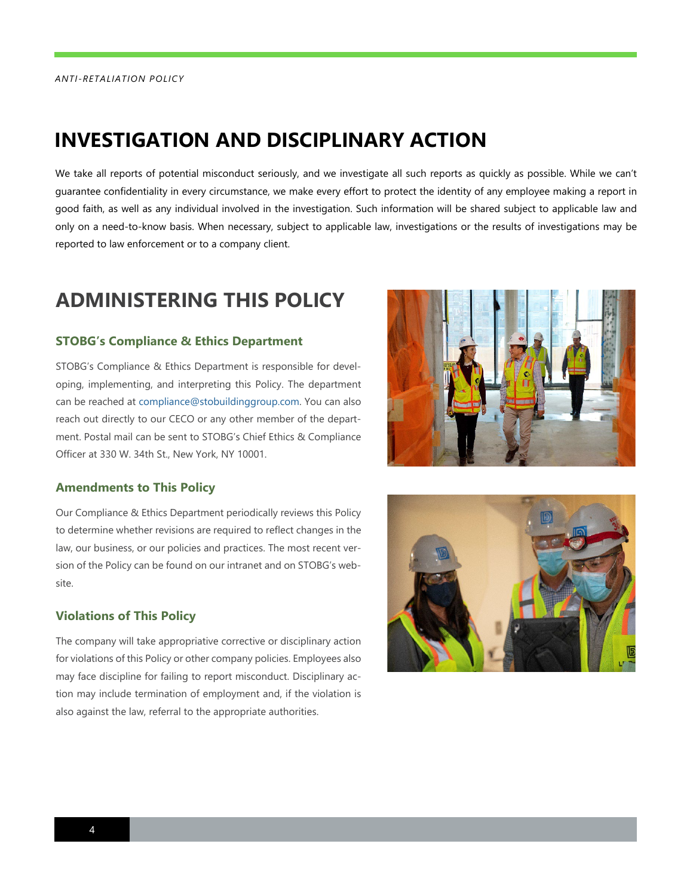#### **INVESTIGATION AND DISCIPLINARY ACTION**

We take all reports of potential misconduct seriously, and we investigate all such reports as quickly as possible. While we can't guarantee confidentiality in every circumstance, we make every effort to protect the identity of any employee making a report in good faith, as well as any individual involved in the investigation. Such information will be shared subject to applicable law and only on a need-to-know basis. When necessary, subject to applicable law, investigations or the results of investigations may be reported to law enforcement or to a company client.

#### **ADMINISTERING THIS POLICY**

#### **STOBG's Compliance & Ethics Department**

STOBG's Compliance & Ethics Department is responsible for developing, implementing, and interpreting this Policy. The department can be reached a[t compliance@stobuildinggroup.com.](mailto:compliance@stobuildinggroup.com) You can also reach out directly to our CECO or any other member of the department. Postal mail can be sent to STOBG's Chief Ethics & Compliance Officer at 330 W. 34th St., New York, NY 10001.



#### **Amendments to This Policy**

Our Compliance & Ethics Department periodically reviews this Policy to determine whether revisions are required to reflect changes in the law, our business, or our policies and practices. The most recent version of the Policy can be found on our intranet and on STOBG's website.

#### **Violations of This Policy**

The company will take appropriative corrective or disciplinary action for violations of this Policy or other company policies. Employees also may face discipline for failing to report misconduct. Disciplinary action may include termination of employment and, if the violation is also against the law, referral to the appropriate authorities.